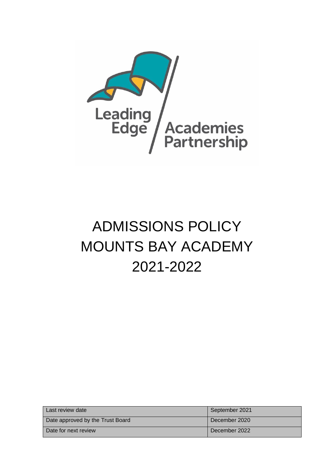

# ADMISSIONS POLICY MOUNTS BAY ACADEMY 2021-2022

| Last review date                 | September 2021 |
|----------------------------------|----------------|
| Date approved by the Trust Board | December 2020  |
| Date for next review             | December 2022  |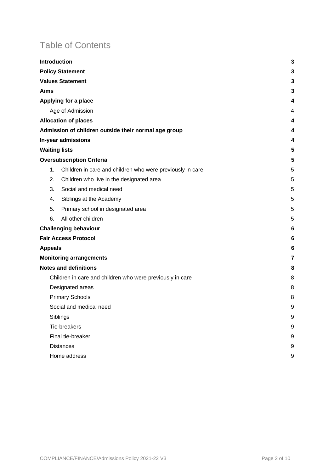# Table of Contents

|                                                           |    | <b>Introduction</b>                                       | 3 |
|-----------------------------------------------------------|----|-----------------------------------------------------------|---|
| <b>Policy Statement</b>                                   |    |                                                           | 3 |
| <b>Values Statement</b>                                   |    |                                                           | 3 |
| <b>Aims</b>                                               |    |                                                           | 3 |
| Applying for a place                                      |    |                                                           | 4 |
| Age of Admission                                          |    |                                                           | 4 |
| <b>Allocation of places</b>                               |    |                                                           | 4 |
|                                                           |    | Admission of children outside their normal age group      | 4 |
| In-year admissions                                        |    | 4                                                         |   |
|                                                           |    | <b>Waiting lists</b>                                      | 5 |
|                                                           |    | <b>Oversubscription Criteria</b>                          | 5 |
|                                                           | 1. | Children in care and children who were previously in care | 5 |
|                                                           | 2. | Children who live in the designated area                  | 5 |
|                                                           | 3. | Social and medical need                                   | 5 |
|                                                           | 4. | Siblings at the Academy                                   | 5 |
|                                                           | 5. | Primary school in designated area                         | 5 |
|                                                           | 6. | All other children                                        | 5 |
| <b>Challenging behaviour</b>                              |    | 6                                                         |   |
| <b>Fair Access Protocol</b>                               |    | 6                                                         |   |
| <b>Appeals</b>                                            |    | 6                                                         |   |
| <b>Monitoring arrangements</b>                            |    | 7                                                         |   |
| <b>Notes and definitions</b>                              |    | 8                                                         |   |
| Children in care and children who were previously in care |    |                                                           | 8 |
| Designated areas                                          |    |                                                           | 8 |
| <b>Primary Schools</b>                                    |    | 8                                                         |   |
| Social and medical need                                   |    | 9                                                         |   |
|                                                           |    | Siblings                                                  | 9 |
|                                                           |    | Tie-breakers                                              | 9 |
|                                                           |    | Final tie-breaker                                         | 9 |
|                                                           |    | <b>Distances</b>                                          | 9 |
|                                                           |    | Home address                                              | 9 |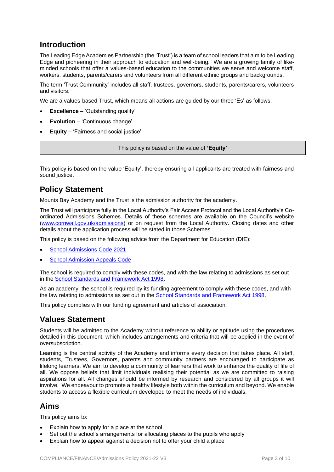# **Introduction**

The Leading Edge Academies Partnership (the 'Trust') is a team of school leaders that aim to be Leading Edge and pioneering in their approach to education and well-being. We are a growing family of likeminded schools that offer a values-based education to the communities we serve and welcome staff, workers, students, parents/carers and volunteers from all different ethnic groups and backgrounds.

The term 'Trust Community' includes all staff, trustees, governors, students, parents/carers, volunteers and visitors.

We are a values-based Trust, which means all actions are guided by our three 'Es' as follows:

- **Excellence** 'Outstanding quality'
- **Evolution** 'Continuous change'
- **Equity** 'Fairness and social justice'

This policy is based on the value of **'Equity'**

This policy is based on the value 'Equity', thereby ensuring all applicants are treated with fairness and sound justice.

# **Policy Statement**

Mounts Bay Academy and the Trust is the admission authority for the academy.

The Trust will participate fully in the Local Authority's Fair Access Protocol and the Local Authority's Coordinated Admissions Schemes. Details of these schemes are available on the Council's website [\(www.cornwall.gov.uk/admissions\)](http://www.cornwall.gov.uk/admissions) or on request from the Local Authority. Closing dates and other details about the application process will be stated in those Schemes.

This policy is based on the following advice from the Department for Education (DfE):

- [School Admissions Code 2021](https://www.gov.uk/government/publications/school-admissions-code--2)
- **[School Admission Appeals Code](https://www.gov.uk/government/publications/school-admissions-appeals-code)**

The school is required to comply with these codes, and with the law relating to admissions as set out in the [School Standards and Framework Act 1998.](http://www.legislation.gov.uk/ukpga/1998/31/contents)

As an academy, the school is required by its funding agreement to comply with these codes, and with the law relating to admissions as set out in the **School Standards and Framework Act 1998**.

This policy complies with our funding agreement and articles of association.

### **Values Statement**

Students will be admitted to the Academy without reference to ability or aptitude using the procedures detailed in this document, which includes arrangements and criteria that will be applied in the event of oversubscription.

Learning is the central activity of the Academy and informs every decision that takes place. All staff, students, Trustees, Governors, parents and community partners are encouraged to participate as lifelong learners. We aim to develop a community of learners that work to enhance the quality of life of all. We oppose beliefs that limit individuals realising their potential as we are committed to raising aspirations for all. All changes should be informed by research and considered by all groups it will involve. We endeavour to promote a healthy lifestyle both within the curriculum and beyond. We enable students to access a flexible curriculum developed to meet the needs of individuals.

### **Aims**

This policy aims to:

- Explain how to apply for a place at the school
- Set out the school's arrangements for allocating places to the pupils who apply
- Explain how to appeal against a decision not to offer your child a place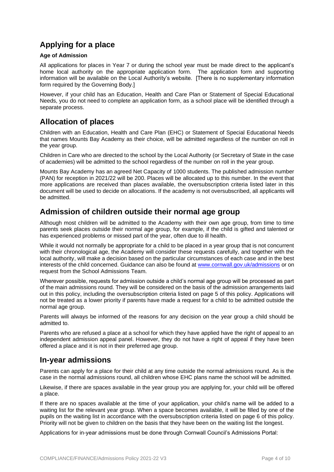# **Applying for a place**

### **Age of Admission**

All applications for places in Year 7 or during the school year must be made direct to the applicant's home local authority on the appropriate application form. The application form and supporting information will be available on the Local Authority's website. [There is no supplementary information form required by the Governing Body.]

However, if your child has an Education, Health and Care Plan or Statement of Special Educational Needs, you do not need to complete an application form, as a school place will be identified through a separate process.

# **Allocation of places**

Children with an Education, Health and Care Plan (EHC) or Statement of Special Educational Needs that names Mounts Bay Academy as their choice, will be admitted regardless of the number on roll in the year group.

Children in Care who are directed to the school by the Local Authority (or Secretary of State in the case of academies) will be admitted to the school regardless of the number on roll in the year group.

Mounts Bay Academy has an agreed Net Capacity of 1000 students. The published admission number (PAN) for reception in 2021/22 will be 200. Places will be allocated up to this number. In the event that more applications are received than places available, the oversubscription criteria listed later in this document will be used to decide on allocations. If the academy is not oversubscribed, all applicants will be admitted.

### **Admission of children outside their normal age group**

Although most children will be admitted to the Academy with their own age group, from time to time parents seek places outside their normal age group, for example, if the child is gifted and talented or has experienced problems or missed part of the year, often due to ill health.

While it would not normally be appropriate for a child to be placed in a year group that is not concurrent with their chronological age, the Academy will consider these requests carefully, and together with the local authority, will make a decision based on the particular circumstances of each case and in the best interests of the child concerned. Guidance can also be found at [www.cornwall.gov.uk/admissions](http://www.cornwall.gov.uk/admissions) or on request from the School Admissions Team.

Wherever possible, requests for admission outside a child's normal age group will be processed as part of the main admissions round. They will be considered on the basis of the admission arrangements laid out in this policy, including the oversubscription criteria listed on page 5 of this policy. Applications will not be treated as a lower priority if parents have made a request for a child to be admitted outside the normal age group.

Parents will always be informed of the reasons for any decision on the year group a child should be admitted to.

Parents who are refused a place at a school for which they have applied have the right of appeal to an independent admission appeal panel. However, they do not have a right of appeal if they have been offered a place and it is not in their preferred age group.

### **In-year admissions**

Parents can apply for a place for their child at any time outside the normal admissions round. As is the case in the normal admissions round, all children whose EHC plans name the school will be admitted.

Likewise, if there are spaces available in the year group you are applying for, your child will be offered a place.

If there are no spaces available at the time of your application, your child's name will be added to a waiting list for the relevant year group. When a space becomes available, it will be filled by one of the pupils on the waiting list in accordance with the oversubscription criteria listed on page 6 of this policy. Priority will not be given to children on the basis that they have been on the waiting list the longest.

Applications for in-year admissions must be done through Cornwall Council's Admissions Portal: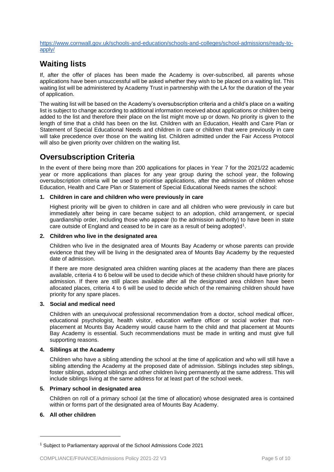[https://www.cornwall.gov.uk/schools-and-education/schools-and-colleges/school-admissions/ready-to](https://www.cornwall.gov.uk/schools-and-education/schools-and-colleges/school-admissions/ready-to-apply/)[apply/](https://www.cornwall.gov.uk/schools-and-education/schools-and-colleges/school-admissions/ready-to-apply/)

# **Waiting lists**

If, after the offer of places has been made the Academy is over-subscribed, all parents whose applications have been unsuccessful will be asked whether they wish to be placed on a waiting list. This waiting list will be administered by Academy Trust in partnership with the LA for the duration of the year of application.

The waiting list will be based on the Academy's oversubscription criteria and a child's place on a waiting list is subject to change according to additional information received about applications or children being added to the list and therefore their place on the list might move up or down. No priority is given to the length of time that a child has been on the list. Children with an Education, Health and Care Plan or Statement of Special Educational Needs and children in care or children that were previously in care will take precedence over those on the waiting list. Children admitted under the Fair Access Protocol will also be given priority over children on the waiting list.

# **Oversubscription Criteria**

In the event of there being more than 200 applications for places in Year 7 for the 2021/22 academic year or more applications than places for any year group during the school year, the following oversubscription criteria will be used to prioritise applications, after the admission of children whose Education, Health and Care Plan or Statement of Special Educational Needs names the school:

### **1. Children in care and children who were previously in care**

Highest priority will be given to children in care and all children who were previously in care but immediately after being in care became subject to an adoption, child arrangement, or special guardianship order, including those who appear (to the admission authority) to have been in state care outside of England and ceased to be in care as a result of being adopted<sup>1</sup>.

### **2. Children who live in the designated area**

Children who live in the designated area of Mounts Bay Academy or whose parents can provide evidence that they will be living in the designated area of Mounts Bay Academy by the requested date of admission.

If there are more designated area children wanting places at the academy than there are places available, criteria 4 to 6 below will be used to decide which of these children should have priority for admission. If there are still places available after all the designated area children have been allocated places, criteria 4 to 6 will be used to decide which of the remaining children should have priority for any spare places.

### **3. Social and medical need**

Children with an unequivocal professional recommendation from a doctor, school medical officer, educational psychologist, health visitor, education welfare officer or social worker that nonplacement at Mounts Bay Academy would cause harm to the child and that placement at Mounts Bay Academy is essential. Such recommendations must be made in writing and must give full supporting reasons.

### **4. Siblings at the Academy**

Children who have a sibling attending the school at the time of application and who will still have a sibling attending the Academy at the proposed date of admission. Siblings includes step siblings, foster siblings, adopted siblings and other children living permanently at the same address. This will include siblings living at the same address for at least part of the school week.

### **5. Primary school in designated area**

Children on roll of a primary school (at the time of allocation) whose designated area is contained within or forms part of the designated area of Mounts Bay Academy.

### **6. All other children**

<sup>1</sup> Subject to Parliamentary approval of the School Admissions Code 2021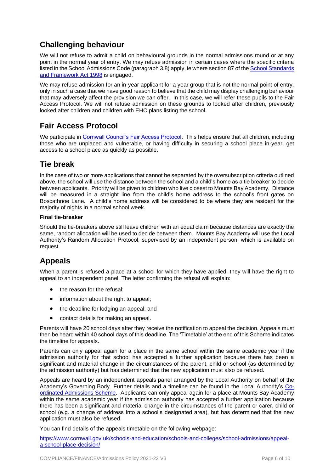# **Challenging behaviour**

We will not refuse to admit a child on behavioural grounds in the normal admissions round or at any point in the normal year of entry. We may refuse admission in certain cases where the specific criteria listed in the School Admissions Code (paragraph 3.8) apply, ie where section 87 of the [School Standards](https://www.legislation.gov.uk/ukpga/1998/31/part/III/chapter/I/crossheading/parental-preferences/enacted?view=plain)  [and Framework Act 1998](https://www.legislation.gov.uk/ukpga/1998/31/part/III/chapter/I/crossheading/parental-preferences/enacted?view=plain) is engaged.

We may refuse admission for an in-year applicant for a year group that is not the normal point of entry, only in such a case that we have good reason to believe that the child may display challenging behaviour that may adversely affect the provision we can offer. In this case, we will refer these pupils to the Fair Access Protocol. We will not refuse admission on these grounds to looked after children, previously looked after children and children with EHC plans listing the school.

# **Fair Access Protocol**

We participate in [Cornwall Council's Fair Access Protocol.](https://www.cornwall.gov.uk/fairaccess) This helps ensure that all children, including those who are unplaced and vulnerable, or having difficulty in securing a school place in-year, get access to a school place as quickly as possible.

# **Tie break**

In the case of two or more applications that cannot be separated by the oversubscription criteria outlined above, the school will use the distance between the school and a child's home as a tie breaker to decide between applicants. Priority will be given to children who live closest to Mounts Bay Academy. Distance will be measured in a straight line from the child's home address to the school's front gates on Boscathnoe Lane. A child's home address will be considered to be where they are resident for the majority of nights in a normal school week.

### **Final tie-breaker**

Should the tie-breakers above still leave children with an equal claim because distances are exactly the same, random allocation will be used to decide between them. Mounts Bay Academy will use the Local Authority's Random Allocation Protocol, supervised by an independent person, which is available on request.

# **Appeals**

When a parent is refused a place at a school for which they have applied, they will have the right to appeal to an independent panel. The letter confirming the refusal will explain:

- the reason for the refusal;
- information about the right to appeal;
- the deadline for lodging an appeal; and
- contact details for making an appeal.

Parents will have 20 school days after they receive the notification to appeal the decision. Appeals must then be heard within 40 school days of this deadline. The 'Timetable' at the end of this Scheme indicates the timeline for appeals.

Parents can only appeal again for a place in the same school within the same academic year if the admission authority for that school has accepted a further application because there has been a significant and material change in the circumstances of the parent, child or school (as determined by the admission authority) but has determined that the new application must also be refused.

Appeals are heard by an independent appeals panel arranged by the Local Authority on behalf of the Academy's Governing Body. Further details and a timeline can be found in the Local Authority's [Co](https://www.cornwall.gov.uk/media/m02k5rul/coordinated-admissions-scheme-2022-23.pdf)[ordinated Admissions Scheme.](https://www.cornwall.gov.uk/media/m02k5rul/coordinated-admissions-scheme-2022-23.pdf) Applicants can only appeal again for a place at Mounts Bay Academy within the same academic year if the admission authority has accepted a further application because there has been a significant and material change in the circumstances of the parent or carer, child or school (e.g. a change of address into a school's designated area), but has determined that the new application must also be refused.

You can find details of the appeals timetable on the following webpage:

[https://www.cornwall.gov.uk/schools-and-education/schools-and-colleges/school-admissions/appeal](https://www.cornwall.gov.uk/schools-and-education/schools-and-colleges/school-admissions/appeal-a-school-place-decision/)[a-school-place-decision/](https://www.cornwall.gov.uk/schools-and-education/schools-and-colleges/school-admissions/appeal-a-school-place-decision/)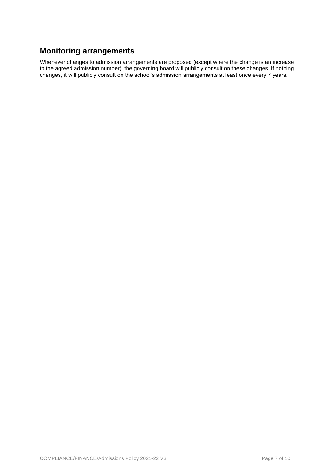# **Monitoring arrangements**

Whenever changes to admission arrangements are proposed (except where the change is an increase to the agreed admission number), the governing board will publicly consult on these changes. If nothing changes, it will publicly consult on the school's admission arrangements at least once every 7 years.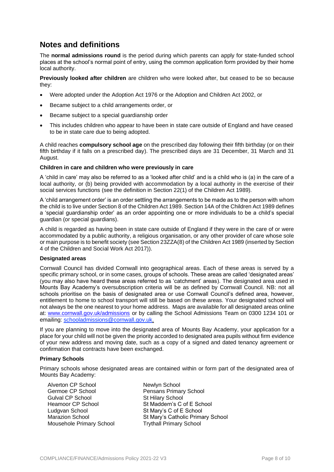# **Notes and definitions**

The **normal admissions round** is the period during which parents can apply for state-funded school places at the school's normal point of entry, using the common application form provided by their home local authority.

**Previously looked after children** are children who were looked after, but ceased to be so because they:

- Were adopted under the Adoption Act 1976 or the Adoption and Children Act 2002, or
- Became subject to a child arrangements order, or
- Became subject to a special guardianship order
- This includes children who appear to have been in state care outside of England and have ceased to be in state care due to being adopted.

A child reaches **compulsory school age** on the prescribed day following their fifth birthday (or on their fifth birthday if it falls on a prescribed day). The prescribed days are 31 December, 31 March and 31 August.

### **Children in care and children who were previously in care**

A 'child in care' may also be referred to as a 'looked after child' and is a child who is (a) in the care of a local authority, or (b) being provided with accommodation by a local authority in the exercise of their social services functions (see the definition in Section 22(1) of the Children Act 1989).

A 'child arrangement order' is an order settling the arrangements to be made as to the person with whom the child is to live under Section 8 of the Children Act 1989. Section 14A of the Children Act 1989 defines a 'special guardianship order' as an order appointing one or more individuals to be a child's special guardian (or special guardians).

A child is regarded as having been in state care outside of England if they were in the care of or were accommodated by a public authority, a religious organisation, or any other provider of care whose sole or main purpose is to benefit society (see Section 23ZZA(8) of the Children Act 1989 (inserted by Section 4 of the Children and Social Work Act 2017)).

### **Designated areas**

Cornwall Council has divided Cornwall into geographical areas. Each of these areas is served by a specific primary school, or in some cases, groups of schools. These areas are called 'designated areas' (you may also have heard these areas referred to as 'catchment' areas). The designated area used in Mounts Bay Academy's oversubscription criteria will be as defined by Cornwall Council. NB: not all schools prioritise on the basis of designated area or use Cornwall Council's defined area, however, entitlement to home to school transport will still be based on these areas. Your designated school will not always be the one nearest to your home address. Maps are available for all designated areas online at: [www.cornwall.gov.uk/admissions](http://www.cornwall.gov.uk/admissions) or by calling the School Admissions Team on 0300 1234 101 or emailing: [schooladmissions@cornwall.gov.uk.](mailto:schooladmissions@cornwall.gov.uk)

If you are planning to move into the designated area of Mounts Bay Academy, your application for a place for your child will not be given the priority accorded to designated area pupils without firm evidence of your new address and moving date, such as a copy of a signed and dated tenancy agreement or confirmation that contracts have been exchanged.

### **Primary Schools**

Primary schools whose designated areas are contained within or form part of the designated area of Mounts Bay Academy:

| Alverton CP School              | Newlyn School                     |
|---------------------------------|-----------------------------------|
| Germoe CP School                | Pensans Primary School            |
| Gulval CP School                | <b>St Hilary School</b>           |
| Heamoor CP School               | St Maddern's C of E School        |
| Ludgvan School                  | St Mary's C of E School           |
| Marazion School                 | St Mary's Catholic Primary School |
| <b>Mousehole Primary School</b> | <b>Trythall Primary School</b>    |
|                                 |                                   |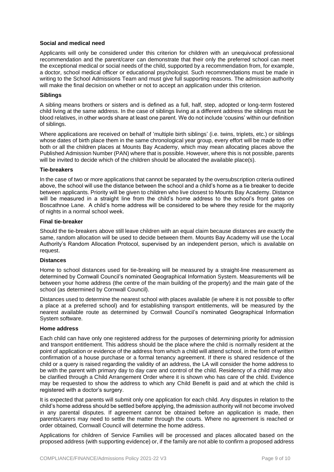#### **Social and medical need**

Applicants will only be considered under this criterion for children with an unequivocal professional recommendation and the parent/carer can demonstrate that their only the preferred school can meet the exceptional medical or social needs of the child, supported by a recommendation from, for example, a doctor, school medical officer or educational psychologist. Such recommendations must be made in writing to the School Admissions Team and must give full supporting reasons. The admission authority will make the final decision on whether or not to accept an application under this criterion.

### **Siblings**

A sibling means brothers or sisters and is defined as a full, half, step, adopted or long-term fostered child living at the same address. In the case of siblings living at a different address the siblings must be blood relatives, in other words share at least one parent. We do not include 'cousins' within our definition of siblings.

Where applications are received on behalf of 'multiple birth siblings' (i.e. twins, triplets, etc.) or siblings whose dates of birth place them in the same chronological year group, every effort will be made to offer both or all the children places at Mounts Bay Academy, which may mean allocating places above the Published Admission Number (PAN) where that is possible. However, where this is not possible, parents will be invited to decide which of the children should be allocated the available place(s).

#### **Tie-breakers**

In the case of two or more applications that cannot be separated by the oversubscription criteria outlined above, the school will use the distance between the school and a child's home as a tie breaker to decide between applicants. Priority will be given to children who live closest to Mounts Bay Academy. Distance will be measured in a straight line from the child's home address to the school's front gates on Boscathnoe Lane. A child's home address will be considered to be where they reside for the majority of nights in a normal school week.

### **Final tie-breaker**

Should the tie-breakers above still leave children with an equal claim because distances are exactly the same, random allocation will be used to decide between them. Mounts Bay Academy will use the Local Authority's Random Allocation Protocol, supervised by an independent person, which is available on request.

#### **Distances**

Home to school distances used for tie-breaking will be measured by a straight-line measurement as determined by Cornwall Council's nominated Geographical Information System. Measurements will be between your home address (the centre of the main building of the property) and the main gate of the school (as determined by Cornwall Council).

Distances used to determine the nearest school with places available (ie where it is not possible to offer a place at a preferred school) and for establishing transport entitlements, will be measured by the nearest available route as determined by Cornwall Council's nominated Geographical Information System software.

#### **Home address**

Each child can have only one registered address for the purposes of determining priority for admission and transport entitlement. This address should be the place where the child is normally resident at the point of application or evidence of the address from which a child will attend school, in the form of written confirmation of a house purchase or a formal tenancy agreement. If there is shared residence of the child or a query is raised regarding the validity of an address, the LA will consider the home address to be with the parent with primary day to day care and control of the child. Residency of a child may also be clarified through a Child Arrangement Order where it is shown who has care of the child. Evidence may be requested to show the address to which any Child Benefit is paid and at which the child is registered with a doctor's surgery.

It is expected that parents will submit only one application for each child. Any disputes in relation to the child's home address should be settled before applying, the admission authority will not become involved in any parental disputes. If agreement cannot be obtained before an application is made, then parents/carers may need to settle the matter through the courts. Where no agreement is reached or order obtained, Cornwall Council will determine the home address.

Applications for children of Service Families will be processed and places allocated based on the proposed address (with supporting evidence) or, if the family are not able to confirm a proposed address